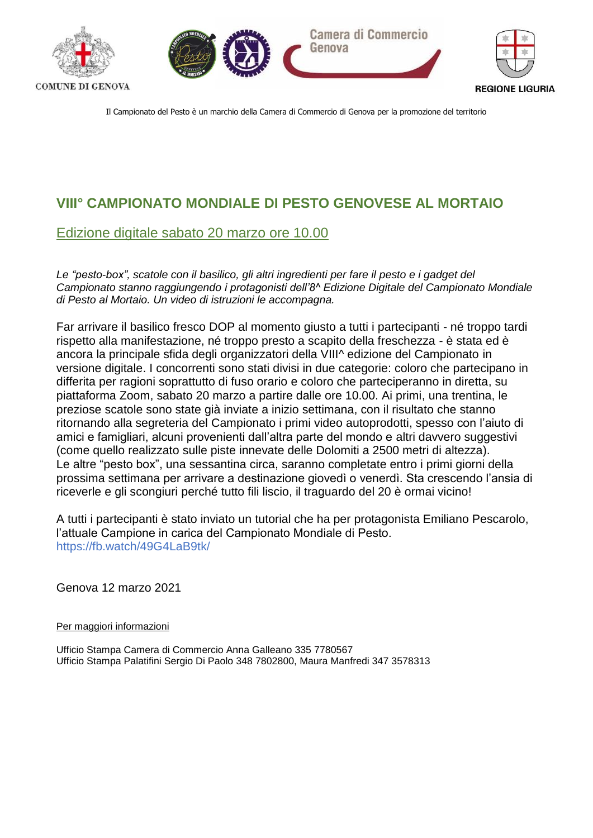





**REGIONE LIGURIA** 

Il Campionato del Pesto è un marchio della Camera di Commercio di Genova per la promozione del territorio

## **VIII° CAMPIONATO MONDIALE DI PESTO GENOVESE AL MORTAIO**

## Edizione digitale sabato 20 marzo ore 10.00

*Le "pesto-box", scatole con il basilico, gli altri ingredienti per fare il pesto e i gadget del Campionato stanno raggiungendo i protagonisti dell'8^ Edizione Digitale del Campionato Mondiale di Pesto al Mortaio. Un video di istruzioni le accompagna.*

Far arrivare il basilico fresco DOP al momento giusto a tutti i partecipanti - né troppo tardi rispetto alla manifestazione, né troppo presto a scapito della freschezza - è stata ed è ancora la principale sfida degli organizzatori della VIII^ edizione del Campionato in versione digitale. I concorrenti sono stati divisi in due categorie: coloro che partecipano in differita per ragioni soprattutto di fuso orario e coloro che parteciperanno in diretta, su piattaforma Zoom, sabato 20 marzo a partire dalle ore 10.00. Ai primi, una trentina, le preziose scatole sono state già inviate a inizio settimana, con il risultato che stanno ritornando alla segreteria del Campionato i primi video autoprodotti, spesso con l'aiuto di amici e famigliari, alcuni provenienti dall'altra parte del mondo e altri davvero suggestivi (come quello realizzato sulle piste innevate delle Dolomiti a 2500 metri di altezza). Le altre "pesto box", una sessantina circa, saranno completate entro i primi giorni della prossima settimana per arrivare a destinazione giovedì o venerdì. Sta crescendo l'ansia di riceverle e gli scongiuri perché tutto fili liscio, il traguardo del 20 è ormai vicino!

A tutti i partecipanti è stato inviato un tutorial che ha per protagonista Emiliano Pescarolo, l'attuale Campione in carica del Campionato Mondiale di Pesto. https://fb.watch/49G4LaB9tk/

Genova 12 marzo 2021

Per maggiori informazioni

Ufficio Stampa Camera di Commercio Anna Galleano 335 7780567 Ufficio Stampa Palatifini Sergio Di Paolo 348 7802800, Maura Manfredi 347 3578313